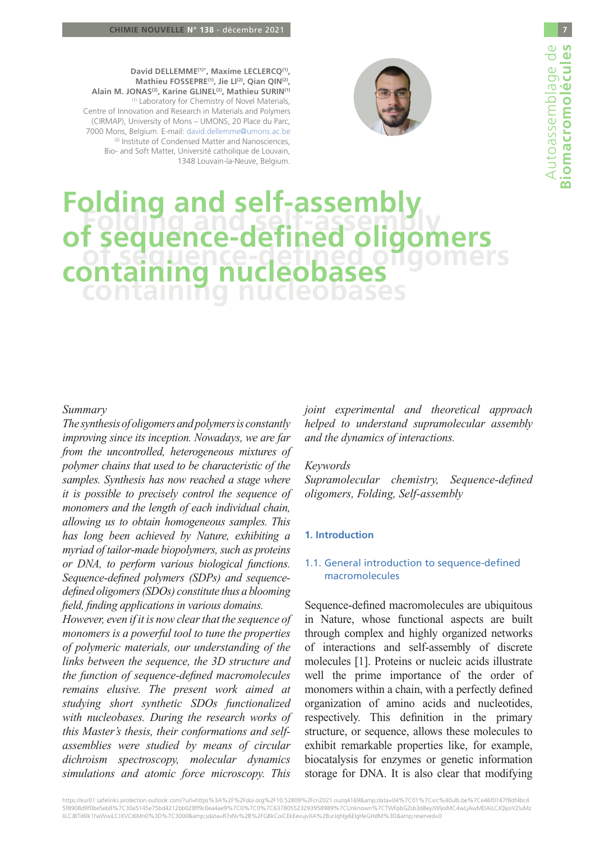

**David DELLEMME(1)\*, Maxime LECLERCQ(1), Mathieu FOSSEPRE(1), Jie LI(2), Qian QIN(2), Alain M. JONAS(2), Karine GLINEL(2), Mathieu SURIN(1)** (1) Laboratory for Chemistry of Novel Materials, Centre of Innovation and Research in Materials and Polymers (CIRMAP), University of Mons – UMONS, 20 Place du Parc, 7000 Mons, Belgium. E-mail: david.dellemme@umons.ac.be (2) Institute of Condensed Matter and Nanosciences, Bio- and Soft Matter, Université catholique de Louvain, 1348 Louvain-la-Neuve, Belgium.

# **Folding and self-assembly of sequence-defined oligomers containing nucleobases Folding and self-asser of sequence-defined oligomers containing nucleobases**

# *Summary*

*The synthesis of oligomers and polymers is constantly improving since its inception. Nowadays, we are far from the uncontrolled, heterogeneous mixtures of polymer chains that used to be characteristic of the samples. Synthesis has now reached a stage where it is possible to precisely control the sequence of monomers and the length of each individual chain, allowing us to obtain homogeneous samples. This has long been achieved by Nature, exhibiting a myriad of tailor-made biopolymers, such as proteins or DNA, to perform various biological functions. Sequence-defined polymers (SDPs) and sequencedefined oligomers (SDOs) constitute thus a blooming field, finding applications in various domains.*

*However, even if it is now clear that the sequence of monomers is a powerful tool to tune the properties of polymeric materials, our understanding of the links between the sequence, the 3D structure and the function of sequence-defined macromolecules remains elusive. The present work aimed at studying short synthetic SDOs functionalized with nucleobases. During the research works of this Master's thesis, their conformations and selfassemblies were studied by means of circular dichroism spectroscopy, molecular dynamics simulations and atomic force microscopy. This* 

*joint experimental and theoretical approach helped to understand supramolecular assembly and the dynamics of interactions.*

# *Keywords*

*Supramolecular chemistry, Sequence-defined oligomers, Folding, Self-assembly*

## **1. Introduction**

# 1.1. General introduction to sequence-defined macromolecules

Sequence-defined macromolecules are ubiquitous in Nature, whose functional aspects are built through complex and highly organized networks of interactions and self-assembly of discrete molecules [1]. Proteins or nucleic acids illustrate well the prime importance of the order of monomers within a chain, with a perfectly defined organization of amino acids and nucleotides, respectively. This definition in the primary structure, or sequence, allows these molecules to exhibit remarkable properties like, for example, biocatalysis for enzymes or genetic information storage for DNA. It is also clear that modifying

[https://eur01.safelinks.protection.outlook.com/?url=https%3A%2F%2Fdoi.org%2F10.52809%2Fcn2021.ouzq4169&data=04%7C01%7Csrc%40ulb.be%7Ce46f0167f8df4bc4](https://eur01.safelinks.protection.outlook.com/?url=https%3A%2F%2Fdoi.org%2F10.52809%2Fcn2021.ouzq4169&data=04%7C01%7Csrc%40ulb.be%7Ce46f0167f8df4bc45f8908d9f0be5eb8%7C30a5145e75bd4212bb028ff9c0ea4ae9%7C0%7C0%7C637805523293958989%7CUnknown%7CTWFpbGZsb) [5f8908d9f0be5eb8%7C30a5145e75bd4212bb028ff9c0ea4ae9%7C0%7C0%7C637805523293958989%7CUnknown%7CTWFpbGZsb3d8eyJWIjoiMC4wLjAwMDAiLCJQIjoiV2luMz](https://eur01.safelinks.protection.outlook.com/?url=https%3A%2F%2Fdoi.org%2F10.52809%2Fcn2021.ouzq4169&data=04%7C01%7Csrc%40ulb.be%7Ce46f0167f8df4bc45f8908d9f0be5eb8%7C30a5145e75bd4212bb028ff9c0ea4ae9%7C0%7C0%7C637805523293958989%7CUnknown%7CTWFpbGZsb) [IiLCJBTiI6Ik1haWwiLCJXVCI6Mn0%3D%7C3000&sdata=R7xNv%2B%2FGBkCoiCEkEevujvXA%2BurJqhIjy6EIgHeGHdM%3D&reserved=0](https://eur01.safelinks.protection.outlook.com/?url=https%3A%2F%2Fdoi.org%2F10.52809%2Fcn2021.ouzq4169&data=04%7C01%7Csrc%40ulb.be%7Ce46f0167f8df4bc45f8908d9f0be5eb8%7C30a5145e75bd4212bb028ff9c0ea4ae9%7C0%7C0%7C637805523293958989%7CUnknown%7CTWFpbGZsb)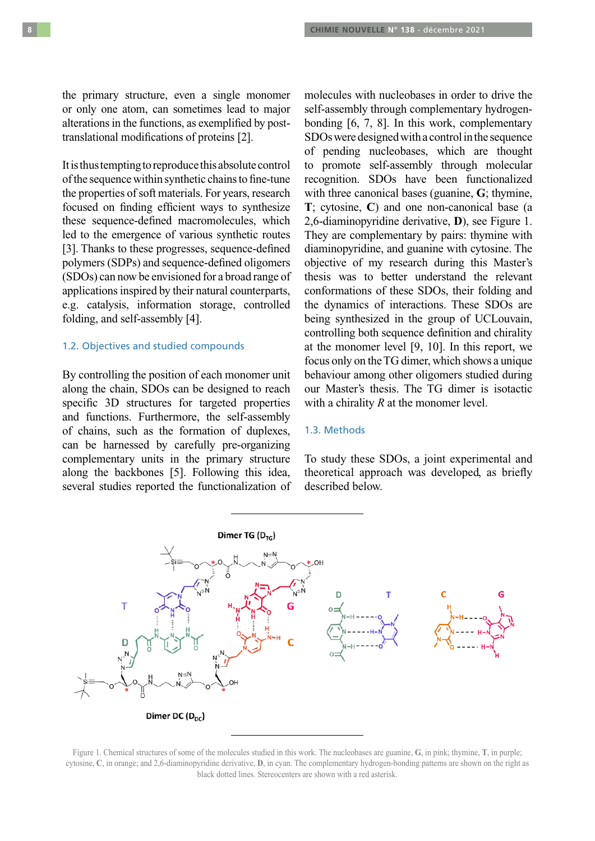the primary structure, even a single monomer or only one atom, can sometimes lead to major alterations in the functions, as exemplified by posttranslational modifications of proteins [2].

It is thus tempting to reproduce this absolute control of the sequence within synthetic chains to fine-tune the properties of soft materials. For years, research focused on finding efficient ways to synthesize these sequence-defined macromolecules, which led to the emergence of various synthetic routes [3]. Thanks to these progresses, sequence-defined polymers (SDPs) and sequence-defined oligomers (SDOs) can now be envisioned for a broad range of applications inspired by their natural counterparts, e.g. catalysis, information storage, controlled folding, and self-assembly [4].

# 1.2. Objectives and studied compounds

By controlling the position of each monomer unit along the chain, SDOs can be designed to reach specific 3D structures for targeted properties and functions. Furthermore, the self-assembly of chains, such as the formation of duplexes, can be harnessed by carefully pre-organizing complementary units in the primary structure along the backbones [5]. Following this idea, several studies reported the functionalization of molecules with nucleobases in order to drive the self-assembly through complementary hydrogenbonding [6, 7, 8]. In this work, complementary SDOs were designed with a control in the sequence of pending nucleobases, which are thought to promote self-assembly through molecular recognition. SDOs have been functionalized with three canonical bases (guanine, **G**; thymine, **T**; cytosine, **C**) and one non-canonical base (a 2,6-diaminopyridine derivative, **D**), see Figure 1. They are complementary by pairs: thymine with diaminopyridine, and guanine with cytosine. The objective of my research during this Master's thesis was to better understand the relevant conformations of these SDOs, their folding and the dynamics of interactions. These SDOs are being synthesized in the group of UCLouvain, controlling both sequence definition and chirality at the monomer level [9, 10]. In this report, we focus only on the TG dimer, which shows a unique behaviour among other oligomers studied during our Master's thesis. The TG dimer is isotactic with a chirality *R* at the monomer level.

#### 1.3. Methods

To study these SDOs, a joint experimental and theoretical approach was developed, as briefly described below.



Figure 1. Chemical structures of some of the molecules studied in this work. The nucleobases are guanine, **G**, in pink; thymine, **T**, in purple; cytosine, **C**, in orange; and 2,6-diaminopyridine derivative, **D**, in cyan. The complementary hydrogen-bonding patterns are shown on the right as black dotted lines. Stereocenters are shown with a red asterisk.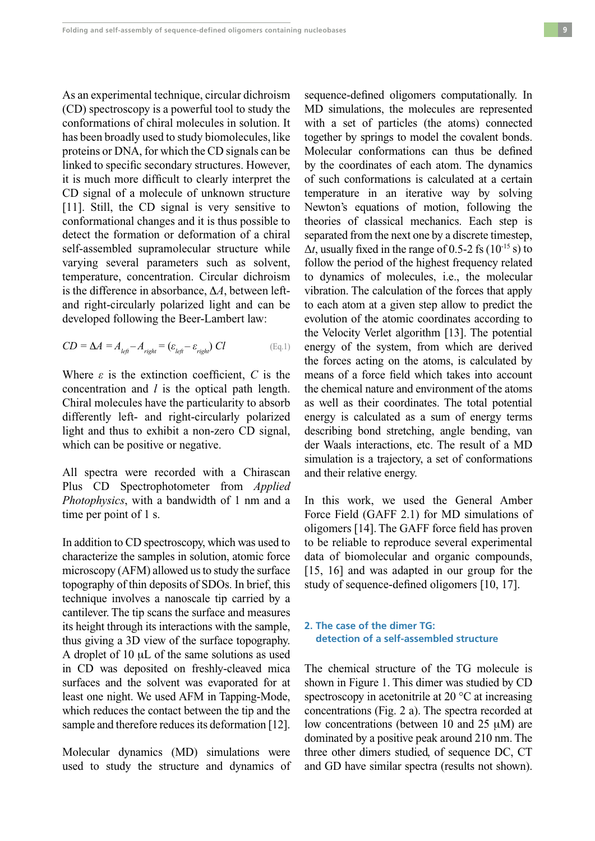As an experimental technique, circular dichroism (CD) spectroscopy is a powerful tool to study the conformations of chiral molecules in solution. It has been broadly used to study biomolecules, like proteins or DNA, for which the CD signals can be linked to specific secondary structures. However, it is much more difficult to clearly interpret the CD signal of a molecule of unknown structure [11]. Still, the CD signal is very sensitive to conformational changes and it is thus possible to detect the formation or deformation of a chiral self-assembled supramolecular structure while varying several parameters such as solvent, temperature, concentration. Circular dichroism is the difference in absorbance,  $\Delta A$ , between leftand right-circularly polarized light and can be developed following the Beer-Lambert law:

$$
CD = \Delta A = A_{left} - A_{right} = (\varepsilon_{left} - \varepsilon_{right}) CI
$$
 (Eq.1)

Where  $\varepsilon$  is the extinction coefficient,  $C$  is the concentration and *l* is the optical path length. Chiral molecules have the particularity to absorb differently left- and right-circularly polarized light and thus to exhibit a non-zero CD signal, which can be positive or negative.

All spectra were recorded with a Chirascan Plus CD Spectrophotometer from *Applied Photophysics*, with a bandwidth of 1 nm and a time per point of 1 s.

In addition to CD spectroscopy, which was used to characterize the samples in solution, atomic force microscopy (AFM) allowed us to study the surface topography of thin deposits of SDOs. In brief, this technique involves a nanoscale tip carried by a cantilever. The tip scans the surface and measures its height through its interactions with the sample, thus giving a 3D view of the surface topography. A droplet of  $10 \mu L$  of the same solutions as used in CD was deposited on freshly-cleaved mica surfaces and the solvent was evaporated for at least one night. We used AFM in Tapping-Mode, which reduces the contact between the tip and the sample and therefore reduces its deformation [12].

Molecular dynamics (MD) simulations were used to study the structure and dynamics of

sequence-defined oligomers computationally. In MD simulations, the molecules are represented with a set of particles (the atoms) connected together by springs to model the covalent bonds. Molecular conformations can thus be defined by the coordinates of each atom. The dynamics of such conformations is calculated at a certain temperature in an iterative way by solving Newton's equations of motion, following the theories of classical mechanics. Each step is separated from the next one by a discrete timestep,  $\Delta t$ , usually fixed in the range of 0.5-2 fs ( $10^{-15}$  s) to follow the period of the highest frequency related to dynamics of molecules, i.e., the molecular vibration. The calculation of the forces that apply to each atom at a given step allow to predict the evolution of the atomic coordinates according to the Velocity Verlet algorithm [13]. The potential energy of the system, from which are derived the forces acting on the atoms, is calculated by means of a force field which takes into account the chemical nature and environment of the atoms as well as their coordinates. The total potential energy is calculated as a sum of energy terms describing bond stretching, angle bending, van der Waals interactions, etc. The result of a MD simulation is a trajectory, a set of conformations and their relative energy.

In this work, we used the General Amber Force Field (GAFF 2.1) for MD simulations of oligomers [14]. The GAFF force field has proven to be reliable to reproduce several experimental data of biomolecular and organic compounds, [15, 16] and was adapted in our group for the study of sequence-defined oligomers [10, 17].

# **2. The case of the dimer TG: detection of a self-assembled structure**

The chemical structure of the TG molecule is shown in Figure 1. This dimer was studied by CD spectroscopy in acetonitrile at 20 °C at increasing concentrations (Fig. 2 a). The spectra recorded at low concentrations (between 10 and 25  $\mu$ M) are dominated by a positive peak around 210 nm. The three other dimers studied, of sequence DC, CT and GD have similar spectra (results not shown).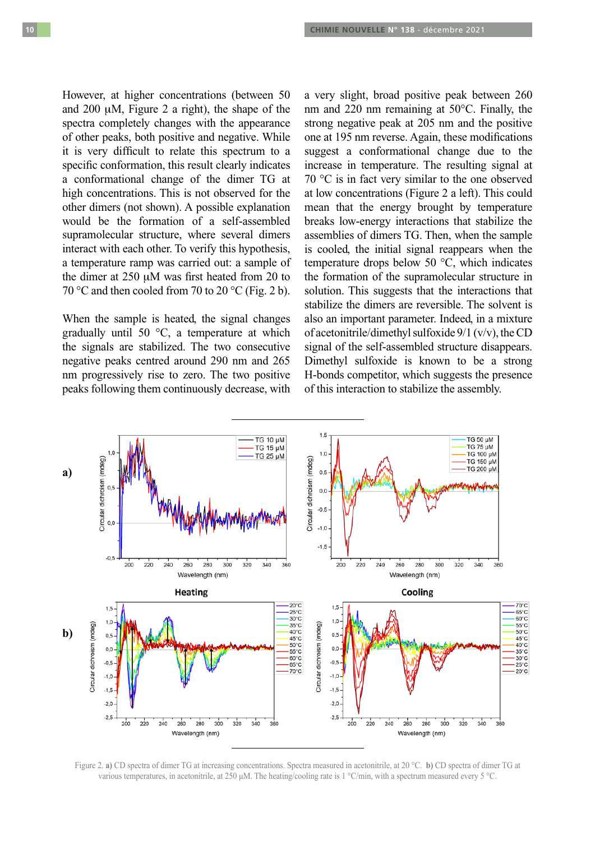However, at higher concentrations (between 50 and  $200 \mu M$ , Figure 2 a right), the shape of the spectra completely changes with the appearance of other peaks, both positive and negative. While it is very difficult to relate this spectrum to a specific conformation, this result clearly indicates a conformational change of the dimer TG at high concentrations. This is not observed for the other dimers (not shown). A possible explanation would be the formation of a self-assembled supramolecular structure, where several dimers interact with each other. To verify this hypothesis, a temperature ramp was carried out: a sample of the dimer at  $250 \mu M$  was first heated from 20 to 70 °C and then cooled from 70 to 20 °C (Fig. 2 b).

When the sample is heated, the signal changes gradually until 50 °C, a temperature at which the signals are stabilized. The two consecutive negative peaks centred around 290 nm and 265 nm progressively rise to zero. The two positive peaks following them continuously decrease, with a very slight, broad positive peak between 260 nm and 220 nm remaining at 50°C. Finally, the strong negative peak at 205 nm and the positive one at 195 nm reverse. Again, these modifications suggest a conformational change due to the increase in temperature. The resulting signal at 70 °C is in fact very similar to the one observed at low concentrations (Figure 2 a left). This could mean that the energy brought by temperature breaks low-energy interactions that stabilize the assemblies of dimers TG. Then, when the sample is cooled, the initial signal reappears when the temperature drops below 50 °C, which indicates the formation of the supramolecular structure in solution. This suggests that the interactions that stabilize the dimers are reversible. The solvent is also an important parameter. Indeed, in a mixture of acetonitrile/dimethyl sulfoxide 9/1 (v/v), the CD signal of the self-assembled structure disappears. Dimethyl sulfoxide is known to be a strong H-bonds competitor, which suggests the presence of this interaction to stabilize the assembly.



Figure 2. **a)** CD spectra of dimer TG at increasing concentrations. Spectra measured in acetonitrile, at 20 °C. **b)** CD spectra of dimer TG at various temperatures, in acetonitrile, at 250 μM. The heating/cooling rate is 1 °C/min, with a spectrum measured every 5 °C.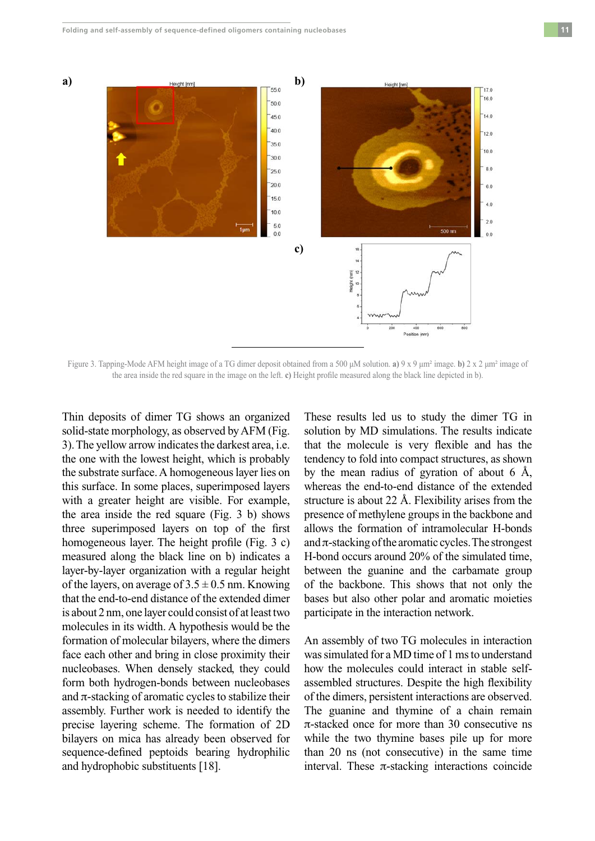

Figure 3. Tapping-Mode AFM height image of a TG dimer deposit obtained from a 500 μM solution. **a)** 9 x 9 μm² image. **b)** 2 x 2 μm² image of the area inside the red square in the image on the left. **c)** Height profile measured along the black line depicted in b).

Thin deposits of dimer TG shows an organized solid-state morphology, as observed by AFM (Fig. 3). The yellow arrow indicates the darkest area, i.e. the one with the lowest height, which is probably the substrate surface. A homogeneous layer lies on this surface. In some places, superimposed layers with a greater height are visible. For example, the area inside the red square (Fig. 3 b) shows three superimposed layers on top of the first homogeneous layer. The height profile (Fig. 3 c) measured along the black line on b) indicates a layer-by-layer organization with a regular height of the layers, on average of  $3.5 \pm 0.5$  nm. Knowing that the end-to-end distance of the extended dimer is about 2 nm, one layer could consist of at least two molecules in its width. A hypothesis would be the formation of molecular bilayers, where the dimers face each other and bring in close proximity their nucleobases. When densely stacked, they could form both hydrogen-bonds between nucleobases and  $\pi$ -stacking of aromatic cycles to stabilize their assembly. Further work is needed to identify the precise layering scheme. The formation of 2D bilayers on mica has already been observed for sequence-defined peptoids bearing hydrophilic and hydrophobic substituents [18].

These results led us to study the dimer TG in solution by MD simulations. The results indicate that the molecule is very flexible and has the tendency to fold into compact structures, as shown by the mean radius of gyration of about 6 Å, whereas the end-to-end distance of the extended structure is about 22 Å. Flexibility arises from the presence of methylene groups in the backbone and allows the formation of intramolecular H-bonds and  $\pi$ -stacking of the aromatic cycles. The strongest H-bond occurs around 20% of the simulated time, between the guanine and the carbamate group of the backbone. This shows that not only the bases but also other polar and aromatic moieties participate in the interaction network.

An assembly of two TG molecules in interaction was simulated for a MD time of 1 ms to understand how the molecules could interact in stable selfassembled structures. Despite the high flexibility of the dimers, persistent interactions are observed. The guanine and thymine of a chain remain  $\pi$ -stacked once for more than 30 consecutive ns while the two thymine bases pile up for more than 20 ns (not consecutive) in the same time interval. These  $\pi$ -stacking interactions coincide